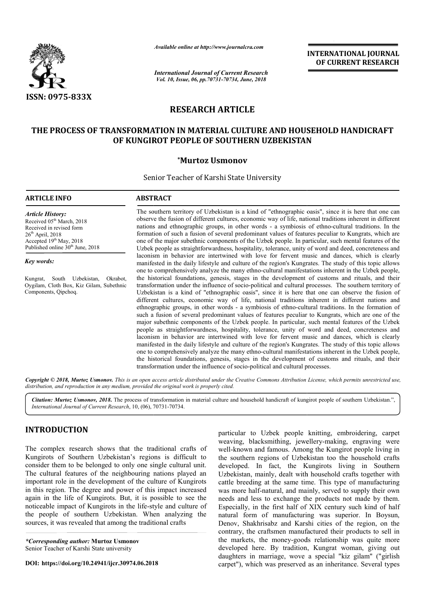

*Available online at http://www.journalcra.com*

*International Journal of Current Research Vol. 10, Issue, 06, pp.70731-70734, June, 2018*

**INTERNATIONAL JOURNAL OF CURRENT RESEARCH**

# **RESEARCH ARTICLE**

## **THE PROCESS OF TRANSFORMATION IN MATERIAL CULTURE AND HOUSEHOLD HANDICRAFT OF KUNGIROT PEOPLE OF SOUTHERN UZBEKISTAN**

### **\*Murtoz Usmonov**

Senior Teacher of Karshi State University

#### **ARTICLE INFO ABSTRACT**

*Article History:* Received 05<sup>th</sup> March, 2018 Received in revised form  $26<sup>th</sup>$  April,  $2018$ Accepted 19<sup>th</sup> May, 2018 Published online  $30<sup>th</sup>$  June, 2018

*Key words:*

Kungrat, South Uzbekistan, Okrabot, Oygilam, Cloth Box, Kiz Gilam, Subethnic Components, Qipchoq.

The southern territory of Uzbekistan is a kind of "ethnographic oasis", since it is here that one can observe the fusion of different cultures, economic way of life, national traditions inherent in different nations and ethnographic groups, in other words - a symbiosis of ethno formation of such a fusion of several predominant values of features peculiar to Kungrats, which are one of the major subethnic components of the Uzbek people. In particular, such mental features of the Uzbek people as straightforwardness, hospitality, tolerance, unity of word and deed, concreteness and laconism in behavior are intertwined with love for fervent music and dances, which is clearly manifested in the daily lifestyle and culture of the region's Kungrates. one to comprehensively analyze the many ethno-cultural manifestations inherent in the Uzbek people, one to comprehensively analyze the many ethno-cultural manifestations inherent in the Uzbek people, the historical foundations, genesis, stages in the development of customs and rituals, and their transformation under the influence of socio-political and cultural processes. The southern territory of Uzbekistan is a kind of "ethnographic oasis", since it is here that one can observe the fusion of different cultures, economic way of life, national traditions inherent in different nations and ethnographic groups, in other words - a symbiosis of ethno-cultural traditions. In the formation of such a fusion of several predominant values of features peculiar to Kungrats, which are one of the major subethnic components of the Uzbek people. In particular, such mental features of the Uzbek people as straightforwardness, hospitality, tolerance, unity of word and deed, concreteness and laconism in behavior are intertwined with love for fervent music and dances, which is clearly manifested in the daily lifestyle and culture of the region's Kungrates. one to comprehensively analyze the many ethno-cultural manifestations inherent in the Uzbek people, the histo historical foundations, genesis, stages in the development of customs and rituals, and their transformation under the influence of socio-political and cultural processes. The southern territory of Uzbekistan is a kind of "ethnographic oasis", since it is here that one can observe the fusion of different cultures, economic way of life, national traditions inherent in different nations and et formation of such a fusion of several predominant values of features peculiar to Kungrats, which are one of the major subethnic components of the Uzbek people. In particular, such mental features of the Uzbek people as str Uzbekistan is a kind of "ethnographic oasis", since it is here that one can observe the fusion of different cultures, economic way of life, national traditions inherent in different nations and ethnographic groups, in othe major subethnic components of the Uzbek people. In particular, such mental features of the Uzbek people as straightforwardness, hospitality, tolerance, unity of word and deed, concreteness and laconism in behavior are inte mprehensively analyze the many ethno-cultural manifestations inherent in the Uzb rical foundations, genesis, stages in the development of customs and rituals, aation under the influence of socio-political and cultural proc INTERNATIONAL JOURNAL<br>
OF CURRENT RESEARCH<br>
OF CURRENT RESEARCH<br>
OF CURRENT RESEARCH<br>
MOUSEHOLD HANDICRAFT<br>
ISTAN<br>
HOUSEHOLD HANDICRAFT<br>
ISTAN<br>
The national traditions inherent in different<br>
means, which are the more than

Copyright © 2018, Murtoz Usmonov. This is an open access article distributed under the Creative Commons Attribution License, which permits unrestricted use, *distribution, and reproduction in any medium, provided the original work is properly cited.*

Citation: Murtoz Usmonov, 2018. The process of transformation in material culture and household handicraft of kungirot people of southern Uzbekistan.", *International Journal of Current Research*, 10, (06), 70731 70731-70734.

## **INTRODUCTION**

The complex research shows that the traditional crafts of Kungirots of Southern Uzbekistan's regions is difficult to consider them to be belonged to only one single cultural unit. The cultural features of the neighbouring nations played an important role in the development of the culture of Kungirots in this region. The degree and power of this impact increased again in the life of Kungirots. But, it is possible to see the noticeable impact of Kungirots in the life-style and culture of the people of southern Uzbekistan. When analyzing the sources, it was revealed that among the traditional crafts ee and power of this im<br>ngirots. But, it is possi<br>ngirots in the life-style<br>n Uzbekistan. When<br>that among the traditiona

*\*Corresponding author:* **Murtoz Usmonov** Senior Teacher of Karshi State university

**DOI: https://doi.org/10.24941/ijcr.30974.06.2018**

particular to Uzbek people knitting, embroidering, carpet<br>
weaving, blacksmithing, jewellery-making, engraving were<br>
regions is difficult to<br>
the southern regions of Uzbekistan too the household crafts<br>
one single cultural particular to Uzbek people knitting, embroidering, carpet weaving, blacksmithing, jewellery-making, engraving were well-known and famous. Among the Kungirot people living in well-known and famous. Among the Kungirot people living in the southern regions of Uzbekistan too the household crafts developed. In fact, the Kungirots living in Southern Uzbekistan, mainly, dealt with household crafts together with cattle breeding at the same time. This type of manufacturing developed. In fact, the Kungirots living in Southern<br>Uzbekistan, mainly, dealt with household crafts together with<br>cattle breeding at the same time. This type of manufacturing<br>was more half-natural, and mainly, served to s needs and less to exchange the products not made by them. Especially, in the first half of ХIХ century such kind of half natural form of manufacturing was superior. In Boysun, Denov, Shakhrisabz and Karshi cities of the region, on the contrary, the craftsmen manufactured their products to sell in the markets, the money-goods relationship developed here. By tradition, Kungrat woman, giving out daughters in marriage, wove a special "kiz gilam" ("girlish carpet"), which was preserved as an inheritance. Several types hrisabz and Karshi cities of the region, on the craftsmen manufactured their products to sell in the money-goods relationship was quite more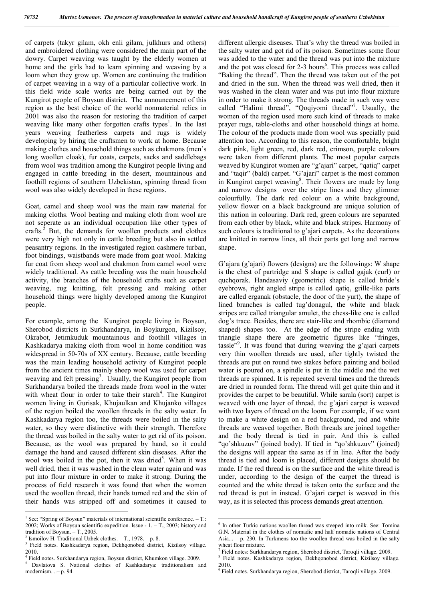of carpets (takyr gilam, okh enli gilam, julkhurs and others) and embroidered clothing were considered the main part of the dowry. Carpet weaving was taught by the elderly women at home and the girls had to learn spinning and weaving by a loom when they grow up. Women are continuing the tradition of carpet weaving in a way of a particular collective work. In this field wide scale works are being carried out by the Kungirot people of Boysun district. The announcement of this region as the best choice of the world nonmaterial relics in 2001 was also the reason for restoring the tradition of carpet weaving like many other forgotten crafts types<sup>1</sup>. In the last years weaving featherless carpets and rugs is widely developing by hiring the craftsmen to work at home. Because making clothes and household things such as chakmons (men's long woollen cloak), fur coats, carpets, sacks and saddlebags from wool was tradition among the Kungirot people living and engaged in cattle breeding in the desert, mountainous and foothill regions of southern Uzbekistan, spinning thread from wool was also widely developed in these regions.

Goat, camel and sheep wool was the main raw material for making cloths. Wool beating and making cloth from wool are not seperate as an individual occupation like other types of crafts.<sup>2</sup> But, the demands for woollen products and clothes were very high not only in cattle breeding but also in settled peasantry regions. In the investigated region cashmere turban, foot bindings, waistbands were made from goat wool. Making fur coat from sheep wool and chakmon from camel wool were widely traditional. As cattle breeding was the main household activity, the branches of the household crafts such as carpet weaving, rug knitting, felt pressing and making other household things were highly developed among the Kungirot people.

For example, among the Kungirot people living in Boysun, Sherobod districts in Surkhandarya, in Boykurgon, Kizilsoy, Okrabot, Jetimkuduk mountainous and foothill villages in Kashkadarya making cloth from wool in home condition was widespread in 50-70s of XX century. Because, cattle breeding was the main leading household activity of Kungirot people from the ancient times mainly sheep wool was used for carpet weaving and felt pressing<sup>3</sup>. Usually, the Kungirot people from Surkhandarya boiled the threads made from wool in the water with wheat flour in order to take their starch<sup>4</sup>. The Kungirot women living in Gurisak, Khujaulkan and Khujanko villages of the region boiled the woollen threads in the salty water. In Kashkadarya region too, the threads were boiled in the salty water, so they were distinctive with their strength. Therefore the thread was boiled in the salty water to get rid of its poison. Because, as the wool was prepared by hand, so it could damage the hand and caused different skin diseases. After the wool was boiled in the pot, then it was dried<sup>5</sup>. When it was well dried, then it was washed in the clean water again and was put into flour mixture in order to make it strong. During the process of field research it was found that when the women used the woollen thread, their hands turned red and the skin of their hands was stripped off and sometimes it caused to different allergic diseases. That's why the thread was boiled in the salty water and got rid of its poison. Sometimes some flour was added to the water and the thread was put into the mixture and the pot was closed for 2-3 hours<sup>6</sup>. This process was called "Baking the thread". Then the thread was taken out of the pot and dried in the sun. When the thread was well dried, then it was washed in the clean water and was put into flour mixture in order to make it strong. The threads made in such way were called "Halimi thread", "Qoqiyomi thread"<sup>7</sup>. Usually, the women of the region used more such kind of threads to make prayer rugs, table-cloths and other household things at home. The colour of the products made from wool was specially paid attention too. According to this reason, the comfortable, bright dark pink, light green, red, dark red, crimson, purple colours were taken from different plants. The most popular carpets weaved by Kungirot women are "g'ajari" carpet, "qatiq" carpet and "taqir" (bald) carpet. "G'ajari" carpet is the most common in Kungirot carpet weaving<sup>8</sup>. Their flowers are made by long and narrow designs over the stripe lines and they glimmer colourfully. The dark red colour on a white background, yellow flower on a black background are unique solution of this nation in colouring. Dark red, green colours are separated from each other by black, white and black stripes. Harmony of such colours is traditional to g'ajari carpets. As the decorations are knitted in narrow lines, all their parts get long and narrow shape.

G'ajara (g'ajari) flowers (designs) are the followings: W shape is the chest of partridge and S shape is called gajak (curl) or quchqorak. Handasaviy (geometric) shape is called bride's eyebrows, right angled stripe is called qatiq, grille-like parts are called erganak (obstacle, the door of the yurt), the shape of lined branches is called tug'donagul, the white and black stripes are called triangular amulet, the chess-like one is called dog's trace. Besides, there are stair-like and rhombic (diamond shaped) shapes too. At the edge of the stripe ending with triangle shape there are geometric figures like "fringes, tassle"<sup>9</sup> . It was found that during weaving the g'ajari carpets very thin woollen threads are used, after tightly twisted the threads are put on round two stakes before painting and boiled water is poured on, a spindle is put in the middle and the wet threads are spinned. It is repeated several times and the threads are dried in rounded form. The thread will get quite thin and it provides the carpet to be beautiful. While sarala (sort) carpet is weaved with one layer of thread, the g'ajari carpet is weaved with two layers of thread on the loom. For example, if we want to make a white design on a red background, red and white threads are weaved together. Both threads are joined together and the body thread is tied in pair. And this is called "qo'shkuzuv" (joined body). If tied in "qo'shkuzuv" (joined) the designs will appear the same as if in line. After the body thread is tied and loom is placed, different designs should be made. If the red thread is on the surface and the white thread is under, according to the design of the carpet the thread is counted and the white thread is taken onto the surface and the red thread is put in instead. G'ajari carpet is weaved in this way, as it is selected this process demands great attention.

<sup>&</sup>lt;sup>1</sup> See: "Spring of Boysun" materials of international scientific conference.  $-$  T.: 2002; Works of Boysun scientific expedition. Issue - 1. – Т., 2003; history and tradition of Boysun. – Т., 2005.

Ismoilov H. Traditional Uzbek clothes.  $-$  T., 1978.  $-$  p. 8.

<sup>&</sup>lt;sup>3</sup> Field notes. Kashkadarya region, Dekhqonobod district, Kizilsoy village. 2010.

<sup>4</sup> Field notes. Surkhandarya region, Boysun district, Khumkon village. 2009.

<sup>5</sup> Davlatova S. National clothes of Kashkadarya: traditionalism and modernism....– p. 94.

<sup>&</sup>lt;sup>6</sup> In other Turkic nations woollen thread was steeped into milk. See: Tomina G.N. Material in the clothes of nomadic and half nomadic nations of Central Asia... – p. 230. In Turkmens too the woollen thread was boiled in the salty

 $\frac{7}{1}$  Field notes: Surkhandarya region, Sherobod district, Taroqli village. 2009.

<sup>8</sup> Field notes. Kashkadarya region, Dekhqonobod district, Kizilsoy village.

<sup>2010.</sup> <sup>9</sup> Field notes. Surkhandarya region, Sherobod district, Taroqli village. 2009.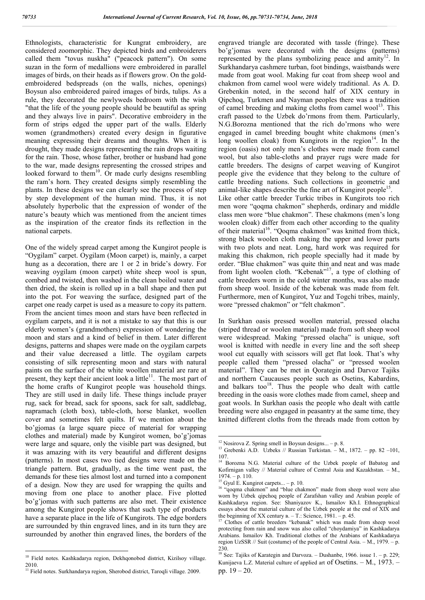Ethnologists, characteristic for Kungrat embroidery, are considered zoomorphic. They depicted birds and embroiderers called them "tovus nuskha" ("peacock pattern"). On some suzan in the form of medallions were embroidered in parallel images of birds, on their heads as if flowers grow. On the goldembroidered bedspreads (on the walls, niches, openings) Boysun also embroidered paired images of birds, tulips. As a rule, they decorated the newlyweds bedroom with the wish "that the life of the young people should be beautiful as spring and they always live in pairs". Decorative embroidery in the form of strips edged the upper part of the walls. Elderly women (grandmothers) created every design in figurative meaning expressing their dreams and thoughts. When it is drought, they made designs representing the rain drops waiting for the rain. Those, whose father, brother or husband had gone to the war, made designs representing the crossed stripes and looked forward to them<sup>10</sup>. Or made curly designs resembling the ram's horn. They created designs simply resembling the plants. In these designs we can clearly see the process of step by step development of the human mind. Thus, it is not absolutely hyperbolic that the expression of wonder of the nature's beauty which was mentioned from the ancient times as the inspiration of the creator finds its reflection in the national carpets.

One of the widely spread carpet among the Kungirot people is "Oygilam" carpet. Oygilam (Moon carpet) is, mainly, a carpet hung as a decoration, there are 1 or 2 in bride's dowry. For weaving oygilam (moon carpet) white sheep wool is spun, combed and twisted, then washed in the clean boiled water and then dried, the skein is rolled up in a ball shape and then put into the pot. For weaving the surface, designed part of the carpet one ready carpet is used as a measure to copy its pattern. From the ancient times moon and stars have been reflected in oygilam carpets, and it is not a mistake to say that this is our elderly women's (grandmothers) expression of wondering the moon and stars and a kind of belief in them. Later different designs, patterns and shapes were made on the oygilam carpets and their value decreased a little. The oygilam carpets consisting of silk representing moon and stars with natural paints on the surface of the white woollen material are rare at present, they kept their ancient look a little $^{11}$ . The most part of the home crafts of Kungirot people was household things. They are still used in daily life. These things include prayer rug, sack for bread, sack for spoons, sack for salt, saddlebag, napramach (cloth box), table-cloth, horse blanket, woollen cover and sometimes felt quilts. If we mention about the bo'gjomas (a large square piece of material for wrapping clothes and material) made by Kungirot women, bo'g'jomas were large and square, only the visible part was designed, but it was amazing with its very beautiful and different designs (patterns). In most cases two tied designs were made on the triangle pattern. But, gradually, as the time went past, the demands for these ties almost lost and turned into a component of a design. Now they are used for wrapping the quilts and moving from one place to another place. Five plotted bo'g'jomas with such patterns are also met. Their existence among the Kungirot people shows that such type of products have a separate place in the life of Kungirots. The edge borders are surrounded by thin engraved lines, and in its turn they are surrounded by another thin engraved lines, the borders of the engraved triangle are decorated with tassle (fringe). These bo'g'jomas were decorated with the designs (patterns) represented by the plans symbolizing peace and amity<sup>12</sup>. In Surkhandarya cashmere turban, foot bindings, waistbands were made from goat wool. Making fur coat from sheep wool and chakmon from camel wool were widely traditional. As A. D. Grebenkin noted, in the second half of XIX century in Qipchoq, Turkmen and Nayman peoples there was a tradition of camel breeding and making cloths from camel wool<sup>13</sup>. This craft passed to the Uzbek do'rmons from them. Particularly, N.G.Borozna mentioned that the rich do'rmons who were engaged in camel breeding bought white chakmons (men's long woollen cloak) from Kungirots in the region $14$ . In the region (oasis) not only men's clothes were made from camel wool, but also table-cloths and prayer rugs were made for cattle breeders. The designs of carpet weaving of Kungirot people give the evidence that they belong to the culture of cattle breeding nations. Such collections in geometric and animal-like shapes describe the fine art of Kungirot people<sup>15</sup>. Like other cattle breeder Turkic tribes in Kungirots too rich men wore "qoqma chakmon" shepherds, ordinary and middle class men wore "blue chakmon". These chakmons (men's long woolen cloak) differ from each other according to the quality of their material<sup>16</sup>. "Qoqma chakmon" was knitted from thick, strong black woolen cloth making the upper and lower parts with two plots and neat. Long, hard work was required for making this chakmon, rich people specially had it made by order. "Blue chakmon" was quite thin and neat and was made from light woolen cloth. "Kebenak"<sup>17</sup>, a type of clothing of cattle breeders worn in the cold winter months, was also made

In Surkhan oasis pressed woollen material, pressed olacha (striped thread or woolen material) made from soft sheep wool were widespread. Making "pressed olacha" is unique, soft wool is knitted with needle in every line and the soft sheep wool cut equally with scissors will get flat look. That's why people called them "pressed olacha" or "pressed woolen material". They can be met in Qorategin and Darvoz Tajiks and northern Caucauses people such as Osetins, Kabardins, and balkars too $18$ . Thus the people who dealt with cattle breeding in the oasis wore clothes made from camel, sheep and goat wools. In Surkhan oasis the people who dealt with cattle breeding were also engaged in peasantry at the same time, they knitted different cloths from the threads made from cotton by

from sheep wool. Inside of the kebenak was made from felt. Furthermore, men of Kungirot, Yuz and Togchi tribes, mainly,

wore "pressed chakmon" or "felt chakmon".

<sup>&</sup>lt;sup>10</sup> Field notes. Kashkadarya region, Dekhqonobod district, Kizilsoy village.

<sup>2010.</sup> <sup>11</sup> Field notes. Surkhandarya region, Sherobod district, Taroqli village. 2009.

 $12$  Nosirova Z. Spring smell in Boysun designs... – p. 8.

<sup>&</sup>lt;sup>13</sup> Grebenki A.D. Uzbeks // Russian Turkistan. – M., 1872. – pp. 82 –101, 107.

<sup>&</sup>lt;sup>14</sup> Borozna N.G. Material culture of the Uzbek people of Babatog and Kofirnigan valley // Material culture of Central Asia and Kazakhstan. – М., 1974. – p. 110.<br><sup>15</sup> Gyul E. Kungirot carpets... – p. 10.

<sup>&</sup>lt;sup>16</sup> "goqma chakmon" and "blue chakmon" made from sheep wool were also worn by Uzbek qipchoq people of Zarafshan valley and Arabian people of Kashkadarya region. See: Shaniyazov K., Ismailov Kh.I. Ethnographical essays about the material culture of the Uzbek people at the end of XIX and the beginning of XX century  $B = T$ : Science, 1981. - p. 45.

Clothes of cattle breeders "kebanak" which was made from sheep wool protecting from rain and snow was also called "choydamiya" in Kashkadarya Arabians. Ismailov Kh. Traditional clothes of the Arabians of Kashkadarya region UzSSR // Suit (costume) of the people of Central Asia. – М., 1979. – p. 230.

<sup>&</sup>lt;sup>18</sup> See: Tajiks of Karategin and Darvoza. – Dushanbe, 1966. issue  $1. -p.$  229; Kunijaeva L.Z. Material culture of applied art of Osetins. – М., 1973. – pp.  $19 - 20$ .